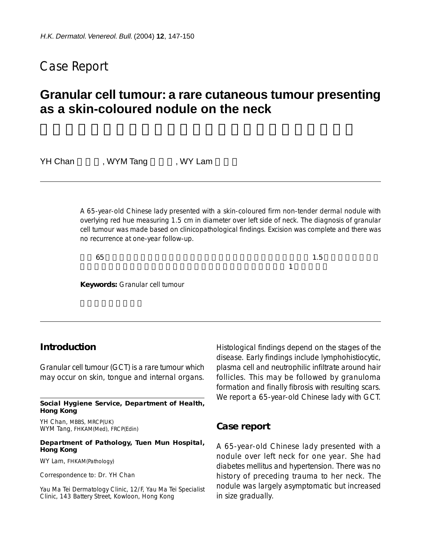# Case Report

# **Granular cell tumour: a rare cutaneous tumour presenting as a skin-coloured nodule on the neck**

YH Chan WYM Tang WY Lam

A 65-year-old Chinese lady presented with a skin-coloured firm non-tender dermal nodule with overlying red hue measuring 1.5 cm in diameter over left side of neck. The diagnosis of granular cell tumour was made based on clinicopathological findings. Excision was complete and there was no recurrence at one-year follow-up.

患者 65 歲,中國女性。首發表現為左側頸部無痛、稍硬、表面略紅、直徑 1.5 釐米的皮膚顏色皮

. 이 사람들은 이 사람들은 어떻게 되었다. 이 사람들은 어떻게 되었다.

**Keywords:** Granular cell tumour

## **Introduction**

Granular cell tumour (GCT) is a rare tumour which may occur on skin, tongue and internal organs.

**Social Hygiene Service, Department of Health, Hong Kong**

YH Chan, MBBS, MRCP(UK) WYM Tang, FHKAM(Med), FRCP(Edin)

#### **Department of Pathology, Tuen Mun Hospital, Hong Kong**

WY Lam, FHKAM(Pathology)

Correspondence to: Dr. YH Chan

Yau Ma Tei Dermatology Clinic, 12/F, Yau Ma Tei Specialist Clinic, 143 Battery Street, Kowloon, Hong Kong

Histological findings depend on the stages of the disease. Early findings include lymphohistiocytic, plasma cell and neutrophilic infiltrate around hair follicles. This may be followed by granuloma formation and finally fibrosis with resulting scars. We report a 65-year-old Chinese lady with GCT.

### **Case report**

A 65-year-old Chinese lady presented with a nodule over left neck for one year. She had diabetes mellitus and hypertension. There was no history of preceding trauma to her neck. The nodule was largely asymptomatic but increased in size gradually.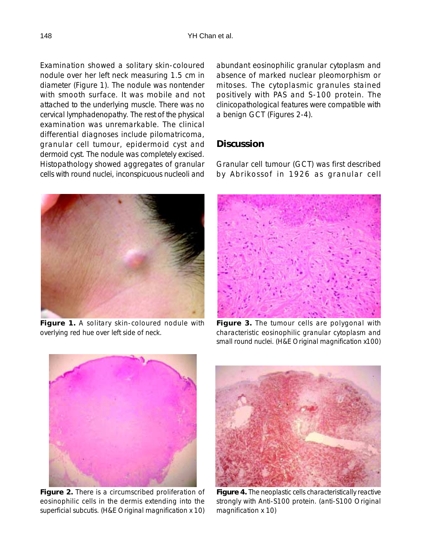Examination showed a solitary skin-coloured nodule over her left neck measuring 1.5 cm in diameter (Figure 1). The nodule was nontender with smooth surface. It was mobile and not attached to the underlying muscle. There was no cervical lymphadenopathy. The rest of the physical examination was unremarkable. The clinical differential diagnoses include pilomatricoma, granular cell tumour, epidermoid cyst and dermoid cyst. The nodule was completely excised. Histopathology showed aggregates of granular cells with round nuclei, inconspicuous nucleoli and



**Figure 1.** A solitary skin-coloured nodule with overlying red hue over left side of neck.

abundant eosinophilic granular cytoplasm and absence of marked nuclear pleomorphism or mitoses. The cytoplasmic granules stained positively with PAS and S-100 protein. The clinicopathological features were compatible with a benign GCT (Figures 2-4).

# **Discussion**

Granular cell tumour (GCT) was first described by Abrikossof in 1926 as granular cell



**Figure 3.** The tumour cells are polygonal with characteristic eosinophilic granular cytoplasm and small round nuclei. (H&E Original magnification x100)



**Figure 2.** There is a circumscribed proliferation of eosinophilic cells in the dermis extending into the superficial subcutis. (H&E Original magnification x 10)



**Figure 4.** The neoplastic cells characteristically reactive strongly with Anti-S100 protein. (anti-S100 Original magnification x 10)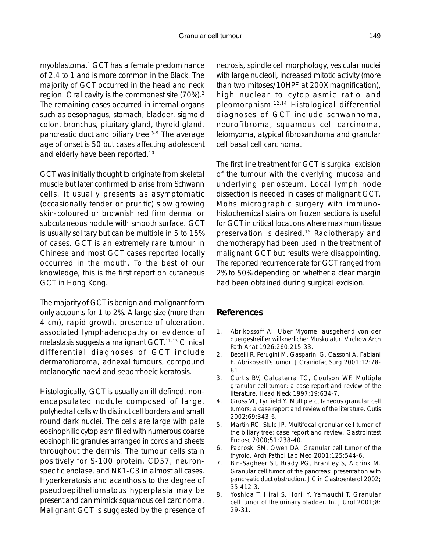myoblastoma.1 GCT has a female predominance of 2.4 to 1 and is more common in the Black. The majority of GCT occurred in the head and neck region. Oral cavity is the commonest site (70%).2 The remaining cases occurred in internal organs such as oesophagus, stomach, bladder, sigmoid colon, bronchus, pituitary gland, thyroid gland, pancreatic duct and biliary tree.<sup>3-9</sup> The average age of onset is 50 but cases affecting adolescent and elderly have been reported.10

GCT was initially thought to originate from skeletal muscle but later confirmed to arise from Schwann cells. It usually presents as asymptomatic (occasionally tender or pruritic) slow growing skin-coloured or brownish red firm dermal or subcutaneous nodule with smooth surface. GCT is usually solitary but can be multiple in 5 to 15% of cases. GCT is an extremely rare tumour in Chinese and most GCT cases reported locally occurred in the mouth. To the best of our knowledge, this is the first report on cutaneous GCT in Hong Kong.

The majority of GCT is benign and malignant form only accounts for 1 to 2%. A large size (more than 4 cm), rapid growth, presence of ulceration, associated lymphadenopathy or evidence of metastasis suggests a malignant GCT.11-13 Clinical differential diagnoses of GCT include dermatofibroma, adnexal tumours, compound melanocytic naevi and seborrhoeic keratosis.

Histologically, GCT is usually an ill defined, nonencapsulated nodule composed of large, polyhedral cells with distinct cell borders and small round dark nuclei. The cells are large with pale eosinophilic cytoplasm filled with numerous coarse eosinophilic granules arranged in cords and sheets throughout the dermis. The tumour cells stain positively for S-100 protein, CD57, neuronspecific enolase, and NK1-C3 in almost all cases. Hyperkeratosis and acanthosis to the degree of pseudoepitheliomatous hyperplasia may be present and can mimick squamous cell carcinoma. Malignant GCT is suggested by the presence of necrosis, spindle cell morphology, vesicular nuclei with large nucleoli, increased mitotic activity (more than two mitoses/10HPF at 200X magnification), high nuclear to cytoplasmic ratio and pleomorphism.12,14 Histological differential diagnoses of GCT include schwannoma, neurofibroma, squamous cell carcinoma, leiomyoma, atypical fibroxanthoma and granular cell basal cell carcinoma.

The first line treatment for GCT is surgical excision of the tumour with the overlying mucosa and underlying periosteum. Local lymph node dissection is needed in cases of malignant GCT. Mohs micrographic surgery with immunohistochemical stains on frozen sections is useful for GCT in critical locations where maximum tissue preservation is desired.<sup>15</sup> Radiotherapy and chemotherapy had been used in the treatment of malignant GCT but results were disappointing. The reported recurrence rate for GCT ranged from 2% to 50% depending on whether a clear margin had been obtained during surgical excision.

### **References**

- 1. Abrikossoff AI. Uber Myome, ausgehend von der quergestreifter willknerlicher Muskulatur. Virchow Arch Path Anat 1926;260:215-33.
- 2. Becelli R, Perugini M, Gasparini G, Cassoni A, Fabiani F. Abrikossoff's tumor. J Craniofac Surg 2001;12:78- 81.
- 3. Curtis BV, Calcaterra TC, Coulson WF. Multiple granular cell tumor: a case report and review of the literature. Head Neck 1997;19:634-7.
- 4. Gross VL, Lynfield Y. Multiple cutaneous granular cell tumors: a case report and review of the literature. Cutis 2002;69:343-6.
- 5. Martin RC, Stulc JP. Multifocal granular cell tumor of the biliary tree: case report and review. Gastrointest Endosc 2000;51:238-40.
- 6. Paproski SM, Owen DA. Granular cell tumor of the thyroid. Arch Pathol Lab Med 2001;125:544-6.
- 7. Bin-Sagheer ST, Brady PG, Brantley S, Albrink M. Granular cell tumor of the pancreas: presentation with pancreatic duct obstruction. J Clin Gastroenterol 2002; 35:412-3.
- 8. Yoshida T, Hirai S, Horii Y, Yamauchi T. Granular cell tumor of the urinary bladder. Int J Urol 2001;8: 29-31.